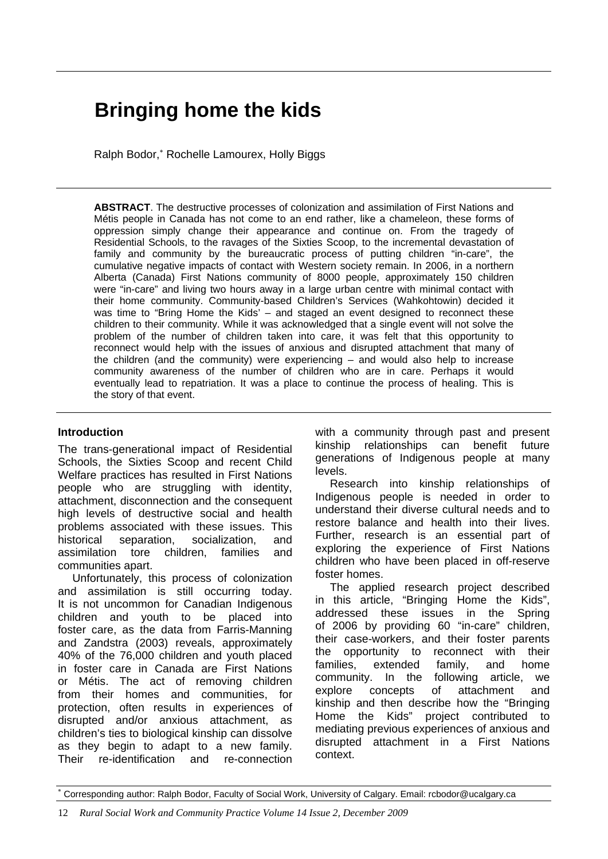# **Bringing home the kids**

Ralph Bodor,<sup>∗</sup> Rochelle Lamourex, Holly Biggs

**ABSTRACT**. The destructive processes of colonization and assimilation of First Nations and Métis people in Canada has not come to an end rather, like a chameleon, these forms of oppression simply change their appearance and continue on. From the tragedy of Residential Schools, to the ravages of the Sixties Scoop, to the incremental devastation of family and community by the bureaucratic process of putting children "in-care", the cumulative negative impacts of contact with Western society remain. In 2006, in a northern Alberta (Canada) First Nations community of 8000 people, approximately 150 children were "in-care" and living two hours away in a large urban centre with minimal contact with their home community. Community-based Children's Services (Wahkohtowin) decided it was time to "Bring Home the Kids' – and staged an event designed to reconnect these children to their community. While it was acknowledged that a single event will not solve the problem of the number of children taken into care, it was felt that this opportunity to reconnect would help with the issues of anxious and disrupted attachment that many of the children (and the community) were experiencing – and would also help to increase community awareness of the number of children who are in care. Perhaps it would eventually lead to repatriation. It was a place to continue the process of healing. This is the story of that event.

## **Introduction**

The trans-generational impact of Residential Schools, the Sixties Scoop and recent Child Welfare practices has resulted in First Nations people who are struggling with identity, attachment, disconnection and the consequent high levels of destructive social and health problems associated with these issues. This historical separation, socialization, and assimilation tore children, families and communities apart.

Unfortunately, this process of colonization and assimilation is still occurring today. It is not uncommon for Canadian Indigenous children and youth to be placed into foster care, as the data from Farris-Manning and Zandstra (2003) reveals, approximately 40% of the 76,000 children and youth placed in foster care in Canada are First Nations or Métis. The act of removing children from their homes and communities, for protection, often results in experiences of disrupted and/or anxious attachment, as children's ties to biological kinship can dissolve as they begin to adapt to a new family. Their re-identification and re-connection

with a community through past and present kinship relationships can benefit future generations of Indigenous people at many levels.

Research into kinship relationships of Indigenous people is needed in order to understand their diverse cultural needs and to restore balance and health into their lives. Further, research is an essential part of exploring the experience of First Nations children who have been placed in off-reserve foster homes.

The applied research project described in this article, "Bringing Home the Kids", addressed these issues in the Spring of 2006 by providing 60 "in-care" children, their case-workers, and their foster parents the opportunity to reconnect with their families, extended family, and home community. In the following article, we explore concepts of attachment and kinship and then describe how the "Bringing Home the Kids" project contributed to mediating previous experiences of anxious and disrupted attachment in a First Nations context.

<sup>∗</sup> Corresponding author: Ralph Bodor, Faculty of Social Work, University of Calgary. Email: rcbodor@ucalgary.ca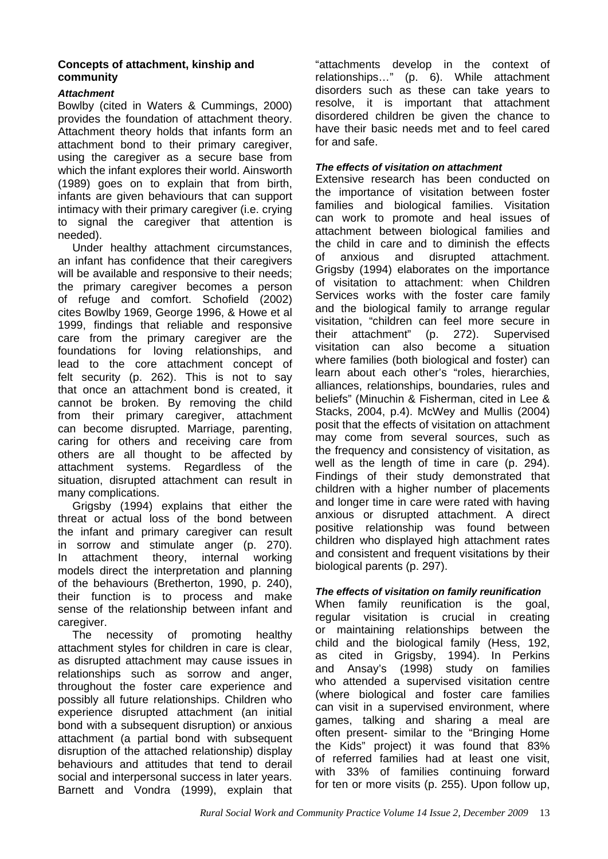## **Concepts of attachment, kinship and community**

## *Attachment*

Bowlby (cited in Waters & Cummings, 2000) provides the foundation of attachment theory. Attachment theory holds that infants form an attachment bond to their primary caregiver, using the caregiver as a secure base from which the infant explores their world. Ainsworth (1989) goes on to explain that from birth, infants are given behaviours that can support intimacy with their primary caregiver (i.e. crying to signal the caregiver that attention is needed).

Under healthy attachment circumstances, an infant has confidence that their caregivers will be available and responsive to their needs; the primary caregiver becomes a person of refuge and comfort. Schofield (2002) cites Bowlby 1969, George 1996, & Howe et al 1999, findings that reliable and responsive care from the primary caregiver are the foundations for loving relationships, and lead to the core attachment concept of felt security (p. 262). This is not to say that once an attachment bond is created, it cannot be broken. By removing the child from their primary caregiver, attachment can become disrupted. Marriage, parenting, caring for others and receiving care from others are all thought to be affected by attachment systems. Regardless of the situation, disrupted attachment can result in many complications.

Grigsby (1994) explains that either the threat or actual loss of the bond between the infant and primary caregiver can result in sorrow and stimulate anger (p. 270). In attachment theory, internal working models direct the interpretation and planning of the behaviours (Bretherton, 1990, p. 240), their function is to process and make sense of the relationship between infant and caregiver.

The necessity of promoting healthy attachment styles for children in care is clear, as disrupted attachment may cause issues in relationships such as sorrow and anger, throughout the foster care experience and possibly all future relationships. Children who experience disrupted attachment (an initial bond with a subsequent disruption) or anxious attachment (a partial bond with subsequent disruption of the attached relationship) display behaviours and attitudes that tend to derail social and interpersonal success in later years. Barnett and Vondra (1999), explain that

"attachments develop in the context of relationships…" (p. 6). While attachment disorders such as these can take years to resolve, it is important that attachment disordered children be given the chance to have their basic needs met and to feel cared for and safe.

#### *The effects of visitation on attachment*

Extensive research has been conducted on the importance of visitation between foster families and biological families. Visitation can work to promote and heal issues of attachment between biological families and the child in care and to diminish the effects of anxious and disrupted attachment. Grigsby (1994) elaborates on the importance of visitation to attachment: when Children Services works with the foster care family and the biological family to arrange regular visitation, "children can feel more secure in their attachment" (p. 272). Supervised visitation can also become a situation where families (both biological and foster) can learn about each other's "roles, hierarchies, alliances, relationships, boundaries, rules and beliefs" (Minuchin & Fisherman, cited in Lee & Stacks, 2004, p.4). McWey and Mullis (2004) posit that the effects of visitation on attachment may come from several sources, such as the frequency and consistency of visitation, as well as the length of time in care (p. 294). Findings of their study demonstrated that children with a higher number of placements and longer time in care were rated with having anxious or disrupted attachment. A direct positive relationship was found between children who displayed high attachment rates and consistent and frequent visitations by their biological parents (p. 297).

## *The effects of visitation on family reunification*

When family reunification is the goal, regular visitation is crucial in creating or maintaining relationships between the child and the biological family (Hess, 192, as cited in Grigsby, 1994). In Perkins and Ansay's (1998) study on families who attended a supervised visitation centre (where biological and foster care families can visit in a supervised environment, where games, talking and sharing a meal are often present- similar to the "Bringing Home the Kids" project) it was found that 83% of referred families had at least one visit, with 33% of families continuing forward for ten or more visits (p. 255). Upon follow up,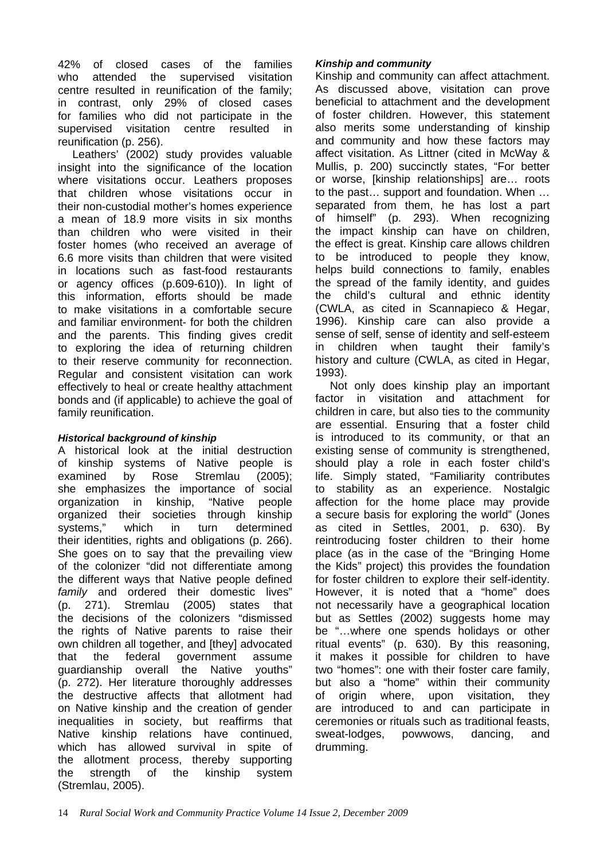42% of closed cases of the families who attended the supervised visitation centre resulted in reunification of the family; in contrast, only 29% of closed cases for families who did not participate in the supervised visitation centre resulted in reunification (p. 256).

Leathers' (2002) study provides valuable insight into the significance of the location where visitations occur. Leathers proposes that children whose visitations occur in their non-custodial mother's homes experience a mean of 18.9 more visits in six months than children who were visited in their foster homes (who received an average of 6.6 more visits than children that were visited in locations such as fast-food restaurants or agency offices (p.609-610)). In light of this information, efforts should be made to make visitations in a comfortable secure and familiar environment- for both the children and the parents. This finding gives credit to exploring the idea of returning children to their reserve community for reconnection. Regular and consistent visitation can work effectively to heal or create healthy attachment bonds and (if applicable) to achieve the goal of family reunification.

## *Historical background of kinship*

A historical look at the initial destruction of kinship systems of Native people is examined by Rose Stremlau (2005); she emphasizes the importance of social organization in kinship, "Native people organized their societies through kinship systems," which in turn determined their identities, rights and obligations (p. 266). She goes on to say that the prevailing view of the colonizer "did not differentiate among the different ways that Native people defined *family* and ordered their domestic lives" (p. 271). Stremlau (2005) states that the decisions of the colonizers "dismissed the rights of Native parents to raise their own children all together, and [they] advocated that the federal government assume guardianship overall the Native youths" (p. 272). Her literature thoroughly addresses the destructive affects that allotment had on Native kinship and the creation of gender inequalities in society, but reaffirms that Native kinship relations have continued, which has allowed survival in spite of the allotment process, thereby supporting the strength of the kinship system (Stremlau, 2005).

#### *Kinship and community*

Kinship and community can affect attachment. As discussed above, visitation can prove beneficial to attachment and the development of foster children. However, this statement also merits some understanding of kinship and community and how these factors may affect visitation. As Littner (cited in McWay & Mullis, p. 200) succinctly states, "For better or worse, [kinship relationships] are… roots to the past… support and foundation. When … separated from them, he has lost a part of himself" (p. 293). When recognizing the impact kinship can have on children, the effect is great. Kinship care allows children to be introduced to people they know, helps build connections to family, enables the spread of the family identity, and guides the child's cultural and ethnic identity (CWLA, as cited in Scannapieco & Hegar, 1996). Kinship care can also provide a sense of self, sense of identity and self-esteem in children when taught their family's history and culture (CWLA, as cited in Hegar, 1993).

Not only does kinship play an important factor in visitation and attachment for children in care, but also ties to the community are essential. Ensuring that a foster child is introduced to its community, or that an existing sense of community is strengthened, should play a role in each foster child's life. Simply stated, "Familiarity contributes to stability as an experience. Nostalgic affection for the home place may provide a secure basis for exploring the world" (Jones as cited in Settles, 2001, p. 630). By reintroducing foster children to their home place (as in the case of the "Bringing Home the Kids" project) this provides the foundation for foster children to explore their self-identity. However, it is noted that a "home" does not necessarily have a geographical location but as Settles (2002) suggests home may be "…where one spends holidays or other ritual events" (p. 630). By this reasoning, it makes it possible for children to have two "homes": one with their foster care family, but also a "home" within their community of origin where, upon visitation, they are introduced to and can participate in ceremonies or rituals such as traditional feasts, sweat-lodges, powwows, dancing, and drumming.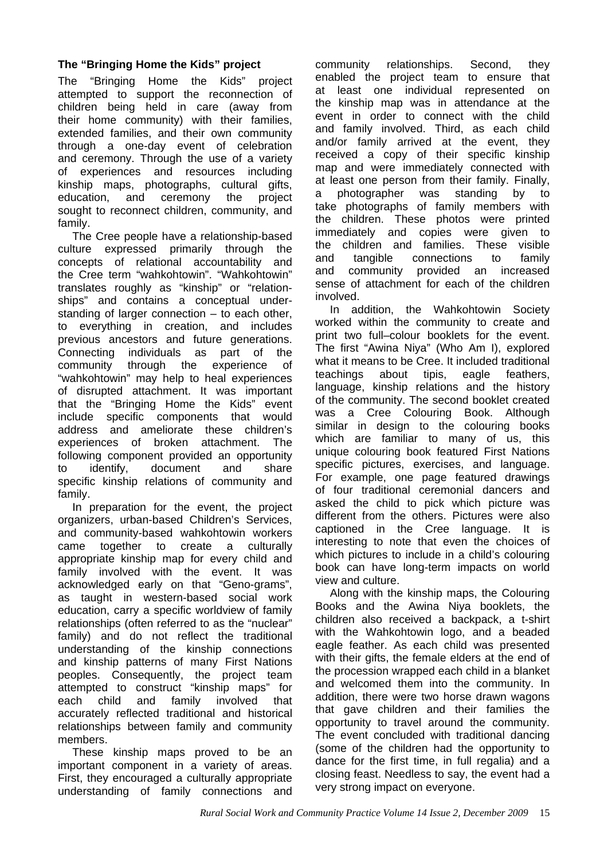# **The "Bringing Home the Kids" project**

The "Bringing Home the Kids" project attempted to support the reconnection of children being held in care (away from their home community) with their families, extended families, and their own community through a one-day event of celebration and ceremony. Through the use of a variety of experiences and resources including kinship maps, photographs, cultural gifts, education, and ceremony the project sought to reconnect children, community, and family.

The Cree people have a relationship-based culture expressed primarily through the concepts of relational accountability and the Cree term "wahkohtowin". "Wahkohtowin" translates roughly as "kinship" or "relationships" and contains a conceptual understanding of larger connection – to each other, to everything in creation, and includes previous ancestors and future generations. Connecting individuals as part of the community through the experience of "wahkohtowin" may help to heal experiences of disrupted attachment. It was important that the "Bringing Home the Kids" event include specific components that would address and ameliorate these children's experiences of broken attachment. The following component provided an opportunity to identify, document and share specific kinship relations of community and family.

In preparation for the event, the project organizers, urban-based Children's Services, and community-based wahkohtowin workers came together to create a culturally appropriate kinship map for every child and family involved with the event. It was acknowledged early on that "Geno-grams", as taught in western-based social work education, carry a specific worldview of family relationships (often referred to as the "nuclear" family) and do not reflect the traditional understanding of the kinship connections and kinship patterns of many First Nations peoples. Consequently, the project team attempted to construct "kinship maps" for each child and family involved that accurately reflected traditional and historical relationships between family and community members.

These kinship maps proved to be an important component in a variety of areas. First, they encouraged a culturally appropriate understanding of family connections and community relationships. Second, they enabled the project team to ensure that at least one individual represented on the kinship map was in attendance at the event in order to connect with the child and family involved. Third, as each child and/or family arrived at the event, they received a copy of their specific kinship map and were immediately connected with at least one person from their family. Finally, a photographer was standing by to take photographs of family members with the children. These photos were printed immediately and copies were given to the children and families. These visible and tangible connections to family and community provided an increased sense of attachment for each of the children involved.

In addition, the Wahkohtowin Society worked within the community to create and print two full–colour booklets for the event. The first "Awina Niya" (Who Am I), explored what it means to be Cree. It included traditional teachings about tipis, eagle feathers, language, kinship relations and the history of the community. The second booklet created was a Cree Colouring Book. Although similar in design to the colouring books which are familiar to many of us, this unique colouring book featured First Nations specific pictures, exercises, and language. For example, one page featured drawings of four traditional ceremonial dancers and asked the child to pick which picture was different from the others. Pictures were also captioned in the Cree language. It is interesting to note that even the choices of which pictures to include in a child's colouring book can have long-term impacts on world view and culture.

Along with the kinship maps, the Colouring Books and the Awina Niya booklets, the children also received a backpack, a t-shirt with the Wahkohtowin logo, and a beaded eagle feather. As each child was presented with their gifts, the female elders at the end of the procession wrapped each child in a blanket and welcomed them into the community. In addition, there were two horse drawn wagons that gave children and their families the opportunity to travel around the community. The event concluded with traditional dancing (some of the children had the opportunity to dance for the first time, in full regalia) and a closing feast. Needless to say, the event had a very strong impact on everyone.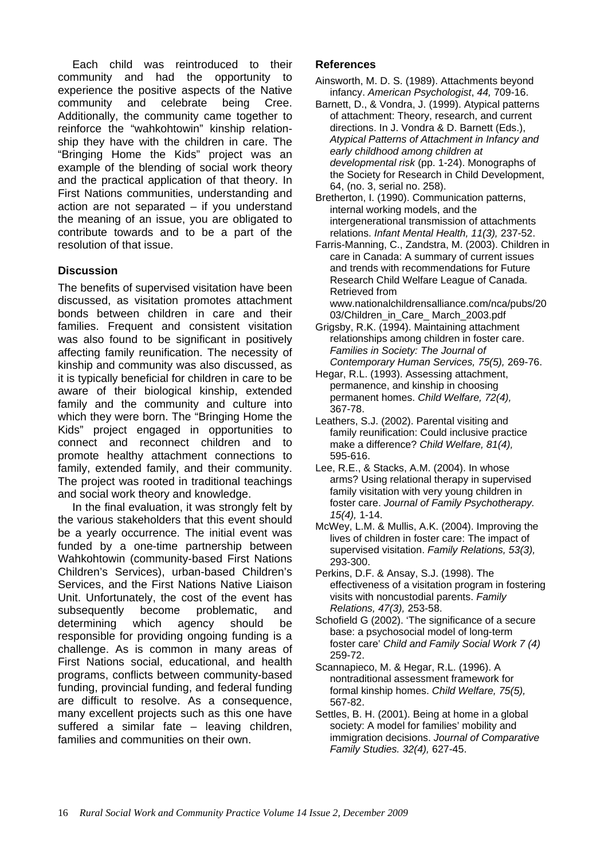Each child was reintroduced to their community and had the opportunity to experience the positive aspects of the Native community and celebrate being Cree. Additionally, the community came together to reinforce the "wahkohtowin" kinship relationship they have with the children in care. The "Bringing Home the Kids" project was an example of the blending of social work theory and the practical application of that theory. In First Nations communities, understanding and action are not separated – if you understand the meaning of an issue, you are obligated to contribute towards and to be a part of the resolution of that issue.

## **Discussion**

The benefits of supervised visitation have been discussed, as visitation promotes attachment bonds between children in care and their families. Frequent and consistent visitation was also found to be significant in positively affecting family reunification. The necessity of kinship and community was also discussed, as it is typically beneficial for children in care to be aware of their biological kinship, extended family and the community and culture into which they were born. The "Bringing Home the Kids" project engaged in opportunities to connect and reconnect children and to promote healthy attachment connections to family, extended family, and their community. The project was rooted in traditional teachings and social work theory and knowledge.

In the final evaluation, it was strongly felt by the various stakeholders that this event should be a yearly occurrence. The initial event was funded by a one-time partnership between Wahkohtowin (community-based First Nations Children's Services), urban-based Children's Services, and the First Nations Native Liaison Unit. Unfortunately, the cost of the event has subsequently become problematic, and determining which agency should be responsible for providing ongoing funding is a challenge. As is common in many areas of First Nations social, educational, and health programs, conflicts between community-based funding, provincial funding, and federal funding are difficult to resolve. As a consequence, many excellent projects such as this one have suffered a similar fate – leaving children, families and communities on their own.

#### **References**

Ainsworth, M. D. S. (1989). Attachments beyond infancy. *American Psychologist*, *44,* 709-16.

- Barnett, D., & Vondra, J. (1999). Atypical patterns of attachment: Theory, research, and current directions. In J. Vondra & D. Barnett (Eds.), *Atypical Patterns of Attachment in Infancy and early childhood among children at developmental risk* (pp. 1-24). Monographs of the Society for Research in Child Development, 64, (no. 3, serial no. 258).
- Bretherton, I. (1990). Communication patterns, internal working models, and the intergenerational transmission of attachments relations. *Infant Mental Health, 11(3),* 237-52.
- Farris-Manning, C., Zandstra, M. (2003). Children in care in Canada: A summary of current issues and trends with recommendations for Future Research Child Welfare League of Canada. Retrieved from www.nationalchildrensalliance.com/nca/pubs/20
- 03/Children\_in\_Care\_ March\_2003.pdf Grigsby, R.K. (1994). Maintaining attachment relationships among children in foster care. *Families in Society: The Journal of Contemporary Human Services, 75(5),* 269-76.
- Hegar, R.L. (1993). Assessing attachment, permanence, and kinship in choosing permanent homes. *Child Welfare, 72(4),* 367-78.
- Leathers, S.J. (2002). Parental visiting and family reunification: Could inclusive practice make a difference? *Child Welfare, 81(4),* 595-616.
- Lee, R.E., & Stacks, A.M. (2004). In whose arms? Using relational therapy in supervised family visitation with very young children in foster care. *Journal of Family Psychotherapy. 15(4),* 1-14.
- McWey, L.M. & Mullis, A.K. (2004). Improving the lives of children in foster care: The impact of supervised visitation. *Family Relations, 53(3),* 293-300.
- Perkins, D.F. & Ansay, S.J. (1998). The effectiveness of a visitation program in fostering visits with noncustodial parents. *Family Relations, 47(3),* 253-58.
- Schofield G (2002). 'The significance of a secure base: a psychosocial model of long-term foster care' *Child and Family Social Work 7 (4)*  259-72.
- Scannapieco, M. & Hegar, R.L. (1996). A nontraditional assessment framework for formal kinship homes. *Child Welfare, 75(5),*  567-82.
- Settles, B. H. (2001). Being at home in a global society: A model for families' mobility and immigration decisions. *Journal of Comparative Family Studies. 32(4),* 627-45.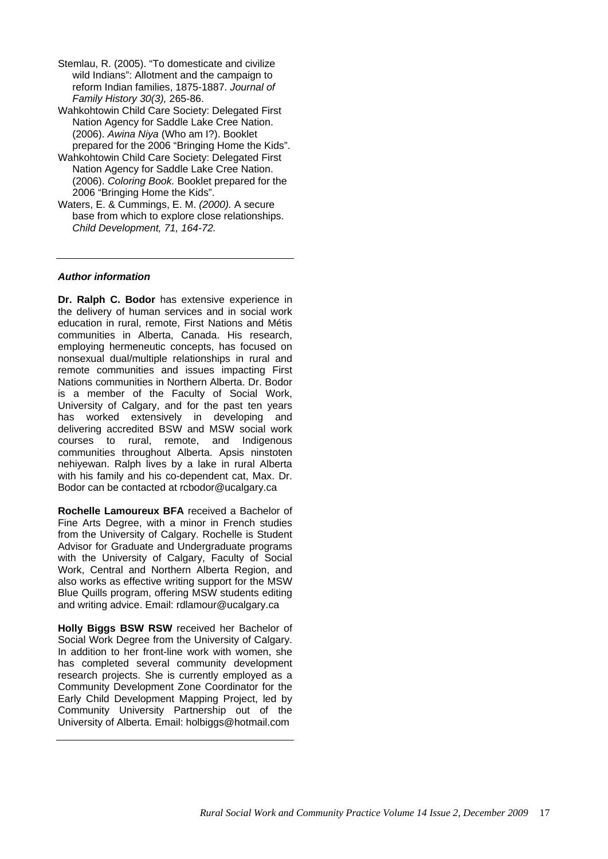- Stemlau, R. (2005). "To domesticate and civilize wild Indians": Allotment and the campaign to reform Indian families, 1875-1887. *Journal of Family History 30(3),* 265-86.
- Wahkohtowin Child Care Society: Delegated First Nation Agency for Saddle Lake Cree Nation. (2006). *Awina Niya* (Who am I?). Booklet prepared for the 2006 "Bringing Home the Kids".
- Wahkohtowin Child Care Society: Delegated First Nation Agency for Saddle Lake Cree Nation. (2006). *Coloring Book.* Booklet prepared for the 2006 "Bringing Home the Kids".
- Waters, E. & Cummings, E. M. *(2000).* A secure base from which to explore close relationships. *Child Development, 71, 164-72.*

#### *Author information*

**Dr. Ralph C. Bodor** has extensive experience in the delivery of human services and in social work education in rural, remote, First Nations and Métis communities in Alberta, Canada. His research, employing hermeneutic concepts, has focused on nonsexual dual/multiple relationships in rural and remote communities and issues impacting First Nations communities in Northern Alberta. Dr. Bodor is a member of the Faculty of Social Work, University of Calgary, and for the past ten years has worked extensively in developing and delivering accredited BSW and MSW social work courses to rural, remote, and Indigenous communities throughout Alberta. Apsis ninstoten nehiyewan. Ralph lives by a lake in rural Alberta with his family and his co-dependent cat, Max. Dr. Bodor can be contacted at rcbodor@ucalgary.ca

**Rochelle Lamoureux BFA** received a Bachelor of Fine Arts Degree, with a minor in French studies from the University of Calgary. Rochelle is Student Advisor for Graduate and Undergraduate programs with the University of Calgary, Faculty of Social Work, Central and Northern Alberta Region, and also works as effective writing support for the MSW Blue Quills program, offering MSW students editing and writing advice. Email: rdlamour@ucalgary.ca

**Holly Biggs BSW RSW** received her Bachelor of Social Work Degree from the University of Calgary. In addition to her front-line work with women, she has completed several community development research projects. She is currently employed as a Community Development Zone Coordinator for the Early Child Development Mapping Project, led by Community University Partnership out of the University of Alberta. Email: holbiggs@hotmail.com